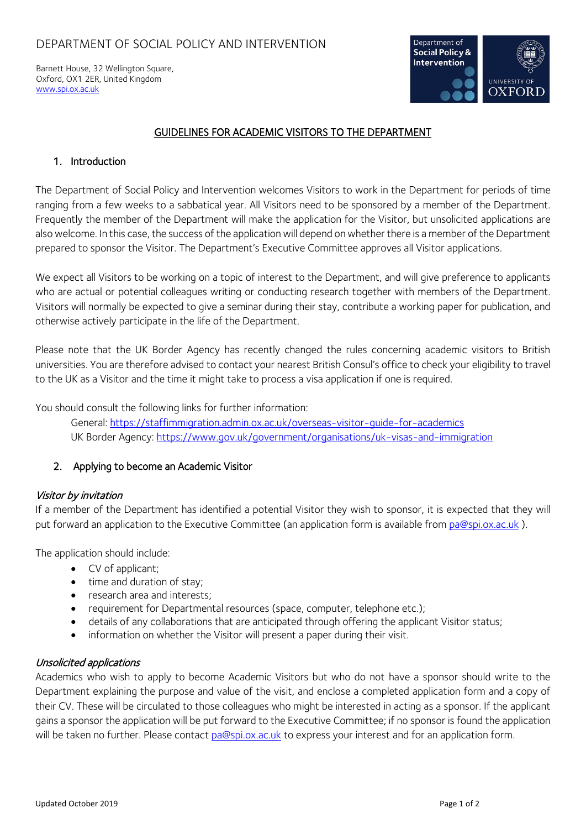Barnett House, 32 Wellington Square, Oxford, OX1 2ER, United Kingdom [www.spi.ox.ac.uk](http://www.spi.ox.ac.uk/)



# GUIDELINES FOR ACADEMIC VISITORS TO THE DEPARTMENT

## 1. Introduction

The Department of Social Policy and Intervention welcomes Visitors to work in the Department for periods of time ranging from a few weeks to a sabbatical year. All Visitors need to be sponsored by a member of the Department. Frequently the member of the Department will make the application for the Visitor, but unsolicited applications are also welcome. In this case, the success of the application will depend on whether there is a member of the Department prepared to sponsor the Visitor. The Department's Executive Committee approves all Visitor applications.

We expect all Visitors to be working on a topic of interest to the Department, and will give preference to applicants who are actual or potential colleagues writing or conducting research together with members of the Department. Visitors will normally be expected to give a seminar during their stay, contribute a working paper for publication, and otherwise actively participate in the life of the Department.

Please note that the UK Border Agency has recently changed the rules concerning academic visitors to British universities. You are therefore advised to contact your nearest British Consul's office to check your eligibility to travel to the UK as a Visitor and the time it might take to process a visa application if one is required.

You should consult the following links for further information:

General: <https://staffimmigration.admin.ox.ac.uk/overseas-visitor-guide-for-academics> UK Border Agency:<https://www.gov.uk/government/organisations/uk-visas-and-immigration>

## 2. Applying to become an Academic Visitor

## Visitor by invitation

If a member of the Department has identified a potential Visitor they wish to sponsor, it is expected that they will put forward an application to the Executive Committee (an application form is available from [pa@spi.ox.ac.uk](mailto:pa@spi.ox.ac.uk) ).

The application should include:

- CV of applicant;
- time and duration of stay;
- research area and interests;
- requirement for Departmental resources (space, computer, telephone etc.);
- details of any collaborations that are anticipated through offering the applicant Visitor status;
- information on whether the Visitor will present a paper during their visit.

## Unsolicited applications

Academics who wish to apply to become Academic Visitors but who do not have a sponsor should write to the Department explaining the purpose and value of the visit, and enclose a completed application form and a copy of their CV. These will be circulated to those colleagues who might be interested in acting as a sponsor. If the applicant gains a sponsor the application will be put forward to the Executive Committee; if no sponsor is found the application will be taken no further. Please contact [pa@spi.ox.ac.uk](mailto:pa@spi.ox.ac.uk) to express your interest and for an application form.